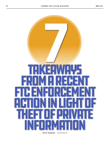